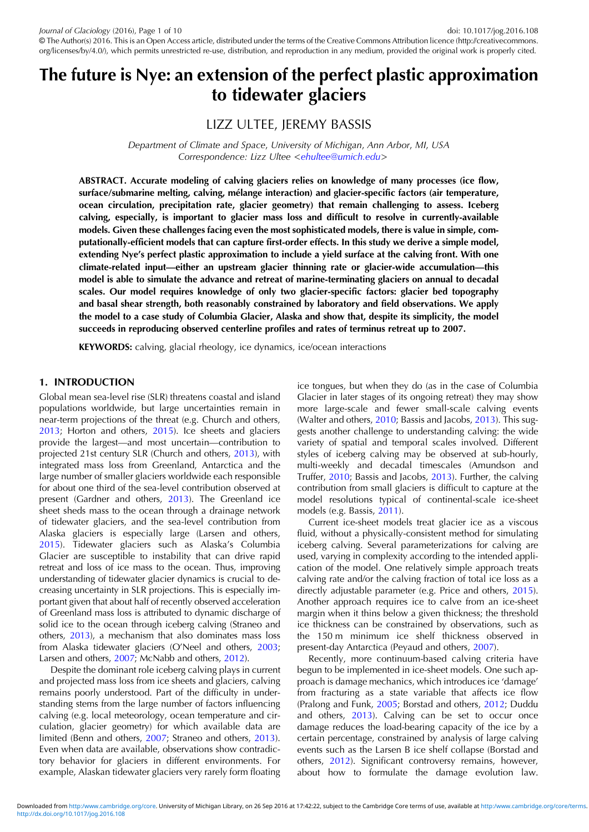# The future is Nye: an extension of the perfect plastic approximation to tidewater glaciers

## LIZZ ULTEE, JEREMY BASSIS

Department of Climate and Space, University of Michigan, Ann Arbor, MI, USA Correspondence: Lizz Ultee <[ehultee@umich.edu](mailto:ehultee@umich.edu)>

ABSTRACT. Accurate modeling of calving glaciers relies on knowledge of many processes (ice flow, surface/submarine melting, calving, mélange interaction) and glacier-specific factors (air temperature, ocean circulation, precipitation rate, glacier geometry) that remain challenging to assess. Iceberg calving, especially, is important to glacier mass loss and difficult to resolve in currently-available models. Given these challenges facing even the most sophisticated models, there is value in simple, computationally-efficient models that can capture first-order effects. In this study we derive a simple model, extending Nye's perfect plastic approximation to include a yield surface at the calving front. With one climate-related input—either an upstream glacier thinning rate or glacier-wide accumulation—this model is able to simulate the advance and retreat of marine-terminating glaciers on annual to decadal scales. Our model requires knowledge of only two glacier-specific factors: glacier bed topography and basal shear strength, both reasonably constrained by laboratory and field observations. We apply the model to a case study of Columbia Glacier, Alaska and show that, despite its simplicity, the model succeeds in reproducing observed centerline profiles and rates of terminus retreat up to 2007.

KEYWORDS: calving, glacial rheology, ice dynamics, ice/ocean interactions

## 1. INTRODUCTION

Global mean sea-level rise (SLR) threatens coastal and island populations worldwide, but large uncertainties remain in near-term projections of the threat (e.g. Church and others, [2013;](#page-8-0) Horton and others, [2015](#page-8-0)). Ice sheets and glaciers provide the largest—and most uncertain—contribution to projected 21st century SLR (Church and others, [2013\)](#page-8-0), with integrated mass loss from Greenland, Antarctica and the large number of smaller glaciers worldwide each responsible for about one third of the sea-level contribution observed at present (Gardner and others, [2013](#page-8-0)). The Greenland ice sheet sheds mass to the ocean through a drainage network of tidewater glaciers, and the sea-level contribution from Alaska glaciers is especially large (Larsen and others, [2015\)](#page-9-0). Tidewater glaciers such as Alaska's Columbia Glacier are susceptible to instability that can drive rapid retreat and loss of ice mass to the ocean. Thus, improving understanding of tidewater glacier dynamics is crucial to decreasing uncertainty in SLR projections. This is especially important given that about half of recently observed acceleration of Greenland mass loss is attributed to dynamic discharge of solid ice to the ocean through iceberg calving (Straneo and others, [2013](#page-9-0)), a mechanism that also dominates mass loss from Alaska tidewater glaciers (O'Neel and others, [2003;](#page-9-0) Larsen and others, [2007](#page-9-0); McNabb and others, [2012](#page-9-0)).

Despite the dominant role iceberg calving plays in current and projected mass loss from ice sheets and glaciers, calving remains poorly understood. Part of the difficulty in understanding stems from the large number of factors influencing calving (e.g. local meteorology, ocean temperature and circulation, glacier geometry) for which available data are limited (Benn and others, [2007](#page-8-0); Straneo and others, [2013](#page-9-0)). Even when data are available, observations show contradictory behavior for glaciers in different environments. For example, Alaskan tidewater glaciers very rarely form floating

ice tongues, but when they do (as in the case of Columbia Glacier in later stages of its ongoing retreat) they may show more large-scale and fewer small-scale calving events (Walter and others, [2010](#page-9-0); Bassis and Jacobs, [2013](#page-8-0)). This suggests another challenge to understanding calving: the wide variety of spatial and temporal scales involved. Different styles of iceberg calving may be observed at sub-hourly, multi-weekly and decadal timescales (Amundson and Truffer, [2010;](#page-8-0) Bassis and Jacobs, [2013](#page-8-0)). Further, the calving contribution from small glaciers is difficult to capture at the model resolutions typical of continental-scale ice-sheet models (e.g. Bassis, [2011](#page-8-0)).

Current ice-sheet models treat glacier ice as a viscous fluid, without a physically-consistent method for simulating iceberg calving. Several parameterizations for calving are used, varying in complexity according to the intended application of the model. One relatively simple approach treats calving rate and/or the calving fraction of total ice loss as a directly adjustable parameter (e.g. Price and others, [2015](#page-9-0)). Another approach requires ice to calve from an ice-sheet margin when it thins below a given thickness; the threshold ice thickness can be constrained by observations, such as the 150 m minimum ice shelf thickness observed in present-day Antarctica (Peyaud and others, [2007](#page-9-0)).

Recently, more continuum-based calving criteria have begun to be implemented in ice-sheet models. One such approach is damage mechanics, which introduces ice 'damage' from fracturing as a state variable that affects ice flow (Pralong and Funk, [2005;](#page-9-0) Borstad and others, [2012](#page-8-0); Duddu and others, [2013\)](#page-8-0). Calving can be set to occur once damage reduces the load-bearing capacity of the ice by a certain percentage, constrained by analysis of large calving events such as the Larsen B ice shelf collapse (Borstad and others, [2012](#page-8-0)). Significant controversy remains, however, about how to formulate the damage evolution law.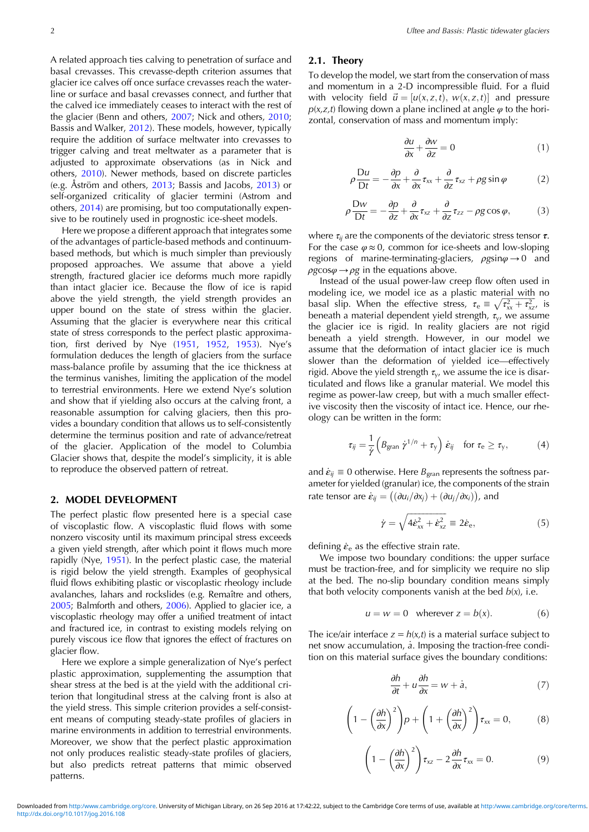A related approach ties calving to penetration of surface and basal crevasses. This crevasse-depth criterion assumes that glacier ice calves off once surface crevasses reach the waterline or surface and basal crevasses connect, and further that the calved ice immediately ceases to interact with the rest of the glacier (Benn and others, [2007;](#page-8-0) Nick and others, [2010](#page-9-0); Bassis and Walker, [2012](#page-8-0)). These models, however, typically require the addition of surface meltwater into crevasses to trigger calving and treat meltwater as a parameter that is adjusted to approximate observations (as in Nick and others, [2010\)](#page-9-0). Newer methods, based on discrete particles (e.g. Åström and others, [2013;](#page-8-0) Bassis and Jacobs, [2013](#page-8-0)) or self-organized criticality of glacier termini (Astrom and others, [2014\)](#page-8-0) are promising, but too computationally expensive to be routinely used in prognostic ice-sheet models.

Here we propose a different approach that integrates some of the advantages of particle-based methods and continuumbased methods, but which is much simpler than previously proposed approaches. We assume that above a yield strength, fractured glacier ice deforms much more rapidly than intact glacier ice. Because the flow of ice is rapid above the yield strength, the yield strength provides an upper bound on the state of stress within the glacier. Assuming that the glacier is everywhere near this critical state of stress corresponds to the perfect plastic approximation, first derived by Nye ([1951,](#page-9-0) [1952](#page-9-0), [1953\)](#page-9-0). Nye's formulation deduces the length of glaciers from the surface mass-balance profile by assuming that the ice thickness at the terminus vanishes, limiting the application of the model to terrestrial environments. Here we extend Nye's solution and show that if yielding also occurs at the calving front, a reasonable assumption for calving glaciers, then this provides a boundary condition that allows us to self-consistently determine the terminus position and rate of advance/retreat of the glacier. Application of the model to Columbia Glacier shows that, despite the model's simplicity, it is able to reproduce the observed pattern of retreat.

#### 2. MODEL DEVELOPMENT

The perfect plastic flow presented here is a special case of viscoplastic flow. A viscoplastic fluid flows with some nonzero viscosity until its maximum principal stress exceeds a given yield strength, after which point it flows much more rapidly (Nye, [1951\)](#page-9-0). In the perfect plastic case, the material is rigid below the yield strength. Examples of geophysical fluid flows exhibiting plastic or viscoplastic rheology include avalanches, lahars and rockslides (e.g. Remaître and others, [2005;](#page-9-0) Balmforth and others, [2006](#page-8-0)). Applied to glacier ice, a viscoplastic rheology may offer a unified treatment of intact and fractured ice, in contrast to existing models relying on purely viscous ice flow that ignores the effect of fractures on glacier flow.

Here we explore a simple generalization of Nye's perfect plastic approximation, supplementing the assumption that shear stress at the bed is at the yield with the additional criterion that longitudinal stress at the calving front is also at the yield stress. This simple criterion provides a self-consistent means of computing steady-state profiles of glaciers in marine environments in addition to terrestrial environments. Moreover, we show that the perfect plastic approximation not only produces realistic steady-state profiles of glaciers, but also predicts retreat patterns that mimic observed patterns.

#### 2.1. Theory

To develop the model, we start from the conservation of mass and momentum in a 2-D incompressible fluid. For a fluid with velocity field  $\vec{u} = [u(x, z, t), w(x, z, t)]$  and pressure  $p(x, z, t)$  flowing down a plane inclined at angle  $\varphi$  to the horizontal, conservation of mass and momentum imply:

$$
\frac{\partial u}{\partial x} + \frac{\partial w}{\partial z} = 0\tag{1}
$$

$$
\rho \frac{\mathrm{D}u}{\mathrm{D}t} = -\frac{\partial p}{\partial x} + \frac{\partial}{\partial x}\tau_{xx} + \frac{\partial}{\partial z}\tau_{xz} + \rho g \sin \varphi \tag{2}
$$

$$
\rho \frac{\mathrm{D}w}{\mathrm{D}t} = -\frac{\partial p}{\partial z} + \frac{\partial}{\partial x} \tau_{xz} + \frac{\partial}{\partial z} \tau_{zz} - \rho g \cos \varphi, \tag{3}
$$

where  $\tau_{ij}$  are the components of the deviatoric stress tensor  $\tau$ . For the case  $\varphi \approx 0$ , common for ice-sheets and low-sloping regions of marine-terminating-glaciers,  $\rho g \sin \varphi \rightarrow 0$  and  $\rho g \cos \varphi \rightarrow \rho g$  in the equations above.

Instead of the usual power-law creep flow often used in modeling ice, we model ice as a plastic material with no basal slip. When the effective stress,  $\tau_e \equiv \sqrt{\tau_{xx}^2 + \tau_{xz}^2}$  is beneath a material dependent yield strength,  $\tau_{y}$ , we assume the glacier ice is rigid. In reality glaciers are not rigid beneath a yield strength. However, in our model we assume that the deformation of intact glacier ice is much slower than the deformation of yielded ice—effectively rigid. Above the yield strength  $\tau_{v}$ , we assume the ice is disarticulated and flows like a granular material. We model this regime as power-law creep, but with a much smaller effective viscosity then the viscosity of intact ice. Hence, our rheology can be written in the form:

$$
\tau_{ij} = \frac{1}{\dot{\gamma}} \left( B_{\text{gran}} \, \dot{\gamma}^{1/n} + \tau_{\gamma} \right) \dot{\varepsilon}_{ij} \quad \text{for } \tau_{\text{e}} \ge \tau_{\gamma}, \tag{4}
$$

and  $\dot{\epsilon}_{ij} \equiv 0$  otherwise. Here  $B_{\text{gran}}$  represents the softness parameter for yielded (granular) ice, the components of the strain rate tensor are  $\dot{\varepsilon}_{ij} = ((\partial u_i/\partial x_i) + (\partial u_i/\partial x_i))$ , and

$$
\dot{\gamma} = \sqrt{4\dot{\varepsilon}_{xx}^2 + \dot{\varepsilon}_{xz}^2} \equiv 2\dot{\varepsilon}_{\rm e},\tag{5}
$$

defining  $\dot{\varepsilon}_e$  as the effective strain rate.

We impose two boundary conditions: the upper surface must be traction-free, and for simplicity we require no slip at the bed. The no-slip boundary condition means simply that both velocity components vanish at the bed  $b(x)$ , i.e.

$$
u = w = 0 \quad \text{wherever } z = b(x). \tag{6}
$$

The ice/air interface  $z = h(x,t)$  is a material surface subject to net snow accumulation,  $\dot{a}$ . Imposing the traction-free condition on this material surface gives the boundary conditions:

$$
\frac{\partial h}{\partial t} + u \frac{\partial h}{\partial x} = w + \dot{a},\tag{7}
$$

$$
\left(1 - \left(\frac{\partial h}{\partial x}\right)^2\right)\rho + \left(1 + \left(\frac{\partial h}{\partial x}\right)^2\right)\tau_{xx} = 0, \tag{8}
$$

$$
\left(1-\left(\frac{\partial h}{\partial x}\right)^2\right)\tau_{xz}-2\frac{\partial h}{\partial x}\tau_{xx}=0.\tag{9}
$$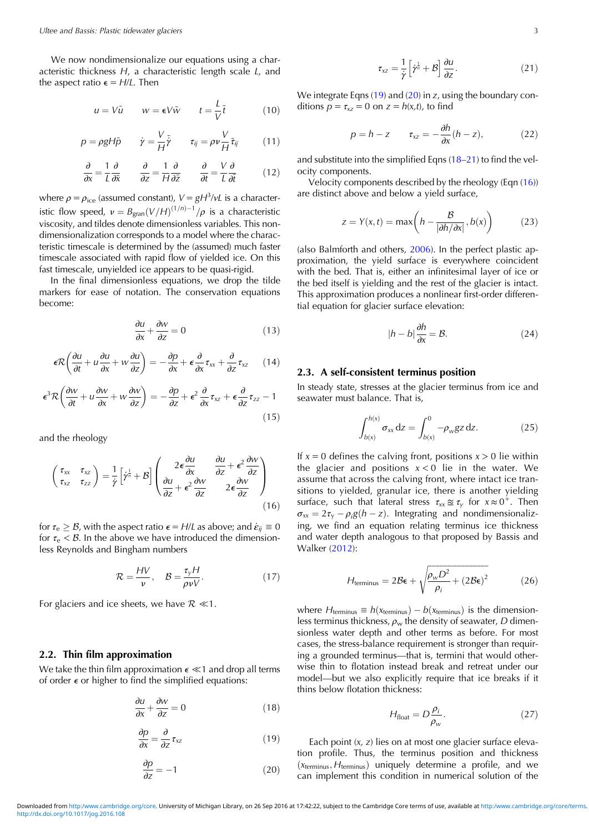<span id="page-2-0"></span>We now nondimensionalize our equations using a characteristic thickness H, a characteristic length scale L, and the aspect ratio  $\epsilon = H/L$ . Then

$$
u = V\tilde{u} \qquad w = \epsilon V \tilde{w} \qquad t = \frac{L}{V} \tilde{t} \tag{10}
$$

$$
p = \rho g H \tilde{p} \qquad \dot{\gamma} = \frac{V}{H} \tilde{\dot{\gamma}} \qquad \tau_{ij} = \rho v \frac{V}{H} \tilde{\tau}_{ij} \qquad (11)
$$

$$
\frac{\partial}{\partial x} = \frac{1}{L} \frac{\partial}{\partial \tilde{x}} \qquad \frac{\partial}{\partial z} = \frac{1}{H} \frac{\partial}{\partial \tilde{z}} \qquad \frac{\partial}{\partial t} = \frac{V}{L} \frac{\partial}{\partial \tilde{t}} \tag{12}
$$

where  $\rho = \rho_{\text{ice}}$  (assumed constant),  $V = gH^3/\nu L$  is a characteristic flow speed,  $v = B_{\text{gran}}(V/H)^{(1/n)-1}/\rho$  is a characteristic viscosity, and tildes denote dimensionless variables. This nondimensionalization corresponds to a model where the characteristic timescale is determined by the (assumed) much faster timescale associated with rapid flow of yielded ice. On this fast timescale, unyielded ice appears to be quasi-rigid.

In the final dimensionless equations, we drop the tilde markers for ease of notation. The conservation equations become:

$$
\frac{\partial u}{\partial x} + \frac{\partial w}{\partial z} = 0\tag{13}
$$

$$
\epsilon \mathcal{R} \left( \frac{\partial u}{\partial t} + u \frac{\partial u}{\partial x} + w \frac{\partial u}{\partial z} \right) = -\frac{\partial p}{\partial x} + \epsilon \frac{\partial}{\partial x} \tau_{xx} + \frac{\partial}{\partial z} \tau_{xz} \qquad (14)
$$

$$
\epsilon^3 \mathcal{R} \left( \frac{\partial w}{\partial t} + u \frac{\partial w}{\partial x} + w \frac{\partial w}{\partial z} \right) = -\frac{\partial p}{\partial z} + \epsilon^2 \frac{\partial}{\partial x} \tau_{xz} + \epsilon \frac{\partial}{\partial z} \tau_{zz} - 1
$$
\n(15)

and the rheology

$$
\begin{pmatrix} \tau_{xx} & \tau_{xz} \\ \tau_{xz} & \tau_{zz} \end{pmatrix} = \frac{1}{\dot{\gamma}} \left[ \dot{\gamma}^{\frac{1}{n}} + \mathcal{B} \right] \begin{pmatrix} 2\epsilon \frac{\partial u}{\partial x} & \frac{\partial u}{\partial z} + \epsilon^2 \frac{\partial w}{\partial z} \\ \frac{\partial u}{\partial z} + \epsilon^2 \frac{\partial w}{\partial z} & 2\epsilon \frac{\partial w}{\partial z} \end{pmatrix}
$$
(16)

for  $\tau_e \geq \mathcal{B}$ , with the aspect ratio  $\epsilon = H/L$  as above; and  $\dot{\epsilon}_{ii} \equiv 0$ for  $\tau_e < B$ . In the above we have introduced the dimensionless Reynolds and Bingham numbers

$$
\mathcal{R} = \frac{HV}{v}, \quad \mathcal{B} = \frac{\tau_y H}{\rho v V}.
$$
 (17)

For glaciers and ice sheets, we have  $\mathcal{R} \ll 1$ .

## 2.2. Thin film approximation

We take the thin film approximation  $\epsilon \ll 1$  and drop all terms of order  $\epsilon$  or higher to find the simplified equations:

$$
\frac{\partial u}{\partial x} + \frac{\partial w}{\partial z} = 0 \tag{18}
$$

$$
\frac{\partial p}{\partial x} = \frac{\partial}{\partial z} \tau_{xz} \tag{19}
$$

$$
\frac{\partial p}{\partial z} = -1\tag{20}
$$

$$
\tau_{xz} = \frac{1}{\dot{\gamma}} \left[ \dot{\gamma}^{\frac{1}{n}} + \mathcal{B} \right] \frac{\partial u}{\partial z}.
$$
 (21)

We integrate Eqns (19) and (20) in z, using the boundary conditions  $p = \tau_{xz} = 0$  on  $z = h(x,t)$ , to find

$$
p = h - z \qquad \tau_{xz} = -\frac{\partial h}{\partial x}(h - z), \tag{22}
$$

and substitute into the simplified Eqns (18–21) to find the velocity components.

Velocity components described by the rheology (Eqn (16)) are distinct above and below a yield surface,

$$
z = Y(x, t) = \max\left(h - \frac{B}{|\partial h/\partial x|}, b(x)\right) \tag{23}
$$

(also Balmforth and others, [2006](#page-8-0)). In the perfect plastic approximation, the yield surface is everywhere coincident with the bed. That is, either an infinitesimal layer of ice or the bed itself is yielding and the rest of the glacier is intact. This approximation produces a nonlinear first-order differential equation for glacier surface elevation:

$$
|h - b| \frac{\partial h}{\partial x} = \mathcal{B}.\tag{24}
$$

## 2.3. A self-consistent terminus position

In steady state, stresses at the glacier terminus from ice and seawater must balance. That is,

$$
\int_{b(x)}^{h(x)} \sigma_{xx} dz = \int_{b(x)}^{0} -\rho_{w}gz dz.
$$
 (25)

If  $x = 0$  defines the calving front, positions  $x > 0$  lie within the glacier and positions  $x < 0$  lie in the water. We assume that across the calving front, where intact ice transitions to yielded, granular ice, there is another yielding surface, such that lateral stress  $\tau_{xx} \approx \tau_y$  for  $x \approx 0^+$ . Then  $\sigma_{xx} = 2\tau_y - \rho_i g(h - z)$ . Integrating and nondimensionalizing, we find an equation relating terminus ice thickness and water depth analogous to that proposed by Bassis and Walker [\(2012](#page-8-0)):

$$
H_{\text{terminus}} = 2\mathcal{B}\epsilon + \sqrt{\frac{\rho_w D^2}{\rho_i} + (2\mathcal{B}\epsilon)^2}
$$
 (26)

where  $H_{\text{terminus}} \equiv h(x_{\text{terminus}}) - b(x_{\text{terminus}})$  is the dimensionless terminus thickness,  $\rho_w$  the density of seawater, D dimensionless water depth and other terms as before. For most cases, the stress-balance requirement is stronger than requiring a grounded terminus—that is, termini that would otherwise thin to flotation instead break and retreat under our model—but we also explicitly require that ice breaks if it thins below flotation thickness:

$$
H_{\text{float}} = D \frac{\rho_i}{\rho_w}.\tag{27}
$$

Each point (x, z) lies on at most one glacier surface elevation profile. Thus, the terminus position and thickness  $(x<sub>terminus</sub>, H<sub>terminus</sub>)$  uniquely determine a profile, and we can implement this condition in numerical solution of the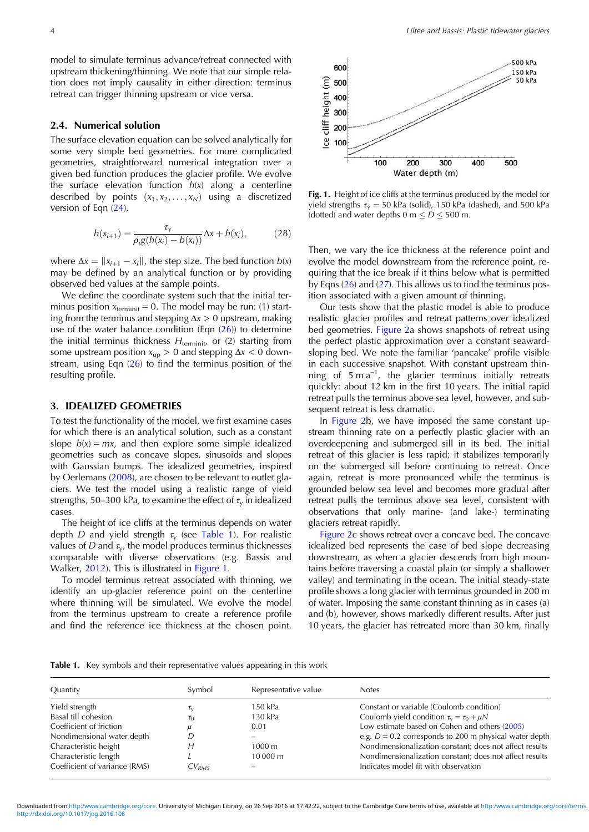<span id="page-3-0"></span>model to simulate terminus advance/retreat connected with upstream thickening/thinning. We note that our simple relation does not imply causality in either direction: terminus retreat can trigger thinning upstream or vice versa.

## 2.4. Numerical solution

The surface elevation equation can be solved analytically for some very simple bed geometries. For more complicated geometries, straightforward numerical integration over a given bed function produces the glacier profile. We evolve the surface elevation function  $h(x)$  along a centerline described by points  $(x_1, x_2, \ldots, x_N)$  using a discretized version of Eqn ([24](#page-2-0)),

$$
h(x_{i+1}) = \frac{\tau_{y}}{\rho_{i}g(h(x_{i}) - b(x_{i}))} \Delta x + h(x_{i}),
$$
 (28)

where  $\Delta x = ||x_{i+1} - x_i||$ , the step size. The bed function  $b(x)$ may be defined by an analytical function or by providing observed bed values at the sample points.

We define the coordinate system such that the initial terminus position  $x_{\text{terminit}} = 0$ . The model may be run: (1) starting from the terminus and stepping  $\Delta x > 0$  upstream, making use of the water balance condition (Eqn  $(26)$ ) to determine the initial terminus thickness  $H_{\text{terminit}}$  or (2) starting from some upstream position  $x_{up} > 0$  and stepping  $\Delta x < 0$  downstream, using Eqn  $(26)$  to find the terminus position of the resulting profile.

#### 3. IDEALIZED GEOMETRIES

To test the functionality of the model, we first examine cases for which there is an analytical solution, such as a constant slope  $b(x) = mx$ , and then explore some simple idealized geometries such as concave slopes, sinusoids and slopes with Gaussian bumps. The idealized geometries, inspired by Oerlemans ([2008\)](#page-9-0), are chosen to be relevant to outlet glaciers. We test the model using a realistic range of yield strengths, 50–300 kPa, to examine the effect of  $\tau_{v}$  in idealized cases.

The height of ice cliffs at the terminus depends on water depth D and yield strength  $\tau_{\rm v}$  (see Table 1). For realistic values of D and  $\tau_{\rm v}$ , the model produces terminus thicknesses comparable with diverse observations (e.g. Bassis and Walker, [2012\)](#page-8-0). This is illustrated in Figure 1.

To model terminus retreat associated with thinning, we identify an up-glacier reference point on the centerline where thinning will be simulated. We evolve the model from the terminus upstream to create a reference profile and find the reference ice thickness at the chosen point.



Fig. 1. Height of ice cliffs at the terminus produced by the model for yield strengths  $\tau_{v} = 50$  kPa (solid), 150 kPa (dashed), and 500 kPa (dotted) and water depths 0 m  $\leq$  D  $\leq$  500 m.

Then, we vary the ice thickness at the reference point and evolve the model downstream from the reference point, requiring that the ice break if it thins below what is permitted by Eqns ([26](#page-2-0)) and ([27](#page-2-0)). This allows us to find the terminus position associated with a given amount of thinning.

Our tests show that the plastic model is able to produce realistic glacier profiles and retreat patterns over idealized bed geometries. [Figure 2](#page-4-0)a shows snapshots of retreat using the perfect plastic approximation over a constant seawardsloping bed. We note the familiar 'pancake' profile visible in each successive snapshot. With constant upstream thinning of  $5 \text{ m a}^{-1}$ , the glacier terminus initially retreats quickly: about 12 km in the first 10 years. The initial rapid retreat pulls the terminus above sea level, however, and subsequent retreat is less dramatic.

In [Figure 2](#page-4-0)b, we have imposed the same constant upstream thinning rate on a perfectly plastic glacier with an overdeepening and submerged sill in its bed. The initial retreat of this glacier is less rapid; it stabilizes temporarily on the submerged sill before continuing to retreat. Once again, retreat is more pronounced while the terminus is grounded below sea level and becomes more gradual after retreat pulls the terminus above sea level, consistent with observations that only marine- (and lake-) terminating glaciers retreat rapidly.

[Figure 2](#page-4-0)c shows retreat over a concave bed. The concave idealized bed represents the case of bed slope decreasing downstream, as when a glacier descends from high mountains before traversing a coastal plain (or simply a shallower valley) and terminating in the ocean. The initial steady-state profile shows a long glacier with terminus grounded in 200 m of water. Imposing the same constant thinning as in cases (a) and (b), however, shows markedly different results. After just 10 years, the glacier has retreated more than 30 km, finally

Table 1. Key symbols and their representative values appearing in this work

| Quantity                      | Symbol            | Representative value | <b>Notes</b>                                             |
|-------------------------------|-------------------|----------------------|----------------------------------------------------------|
| Yield strength                | $\iota_{\nu}$     | 150 kPa              | Constant or variable (Coulomb condition)                 |
| Basal till cohesion           | $\tau_0$          | 130 kPa              | Coulomb yield condition $\tau_{v} = \tau_{0} + \mu N$    |
| Coefficient of friction       |                   | 0.01                 | Low estimate based on Cohen and others (2005)            |
| Nondimensional water depth    |                   | $\qquad \qquad$      | e.g. $D = 0.2$ corresponds to 200 m physical water depth |
| Characteristic height         |                   | 1000 m               | Nondimensionalization constant; does not affect results  |
| Characteristic length         |                   | 10 000 m             | Nondimensionalization constant; does not affect results  |
| Coefficient of variance (RMS) | CV <sub>RMS</sub> | $\qquad \qquad$      | Indicates model fit with observation                     |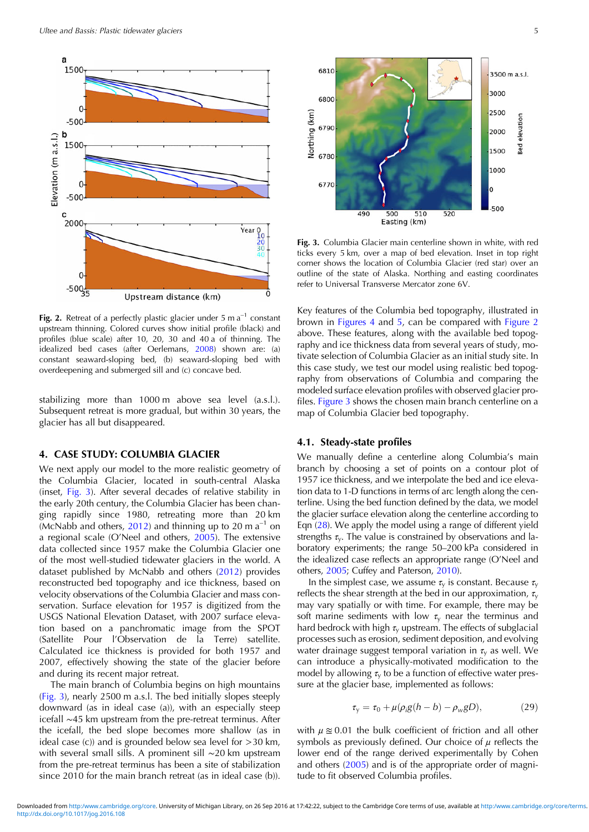<span id="page-4-0"></span>

Fig. 2. Retreat of a perfectly plastic glacier under 5 m  $a^{-1}$  constant upstream thinning. Colored curves show initial profile (black) and profiles (blue scale) after 10, 20, 30 and 40 a of thinning. The idealized bed cases (after Oerlemans, [2008](#page-9-0)) shown are: (a) constant seaward-sloping bed, (b) seaward-sloping bed with overdeepening and submerged sill and (c) concave bed.

stabilizing more than 1000 m above sea level (a.s.l.). Subsequent retreat is more gradual, but within 30 years, the glacier has all but disappeared.

#### 4. CASE STUDY: COLUMBIA GLACIER

We next apply our model to the more realistic geometry of the Columbia Glacier, located in south-central Alaska (inset, Fig. 3). After several decades of relative stability in the early 20th century, the Columbia Glacier has been changing rapidly since 1980, retreating more than 20 km (McNabb and others, [2012](#page-9-0)) and thinning up to 20 m  $a^{-1}$  on a regional scale (O'Neel and others, [2005](#page-9-0)). The extensive data collected since 1957 make the Columbia Glacier one of the most well-studied tidewater glaciers in the world. A dataset published by McNabb and others [\(2012](#page-9-0)) provides reconstructed bed topography and ice thickness, based on velocity observations of the Columbia Glacier and mass conservation. Surface elevation for 1957 is digitized from the USGS National Elevation Dataset, with 2007 surface elevation based on a panchromatic image from the SPOT (Satellite Pour l'Observation de la Terre) satellite. Calculated ice thickness is provided for both 1957 and 2007, effectively showing the state of the glacier before and during its recent major retreat.

The main branch of Columbia begins on high mountains (Fig. 3), nearly 2500 m a.s.l. The bed initially slopes steeply downward (as in ideal case (a)), with an especially steep icefall ∼45 km upstream from the pre-retreat terminus. After the icefall, the bed slope becomes more shallow (as in ideal case  $(c)$  and is grounded below sea level for  $>$ 30 km, with several small sills. A prominent sill ∼20 km upstream from the pre-retreat terminus has been a site of stabilization since 2010 for the main branch retreat (as in ideal case (b)).



Fig. 3. Columbia Glacier main centerline shown in white, with red ticks every 5 km, over a map of bed elevation. Inset in top right corner shows the location of Columbia Glacier (red star) over an outline of the state of Alaska. Northing and easting coordinates refer to Universal Transverse Mercator zone 6V.

Key features of the Columbia bed topography, illustrated in brown in [Figures 4](#page-5-0) and [5,](#page-6-0) can be compared with Figure 2 above. These features, along with the available bed topography and ice thickness data from several years of study, motivate selection of Columbia Glacier as an initial study site. In this case study, we test our model using realistic bed topography from observations of Columbia and comparing the modeled surface elevation profiles with observed glacier profiles. Figure 3 shows the chosen main branch centerline on a map of Columbia Glacier bed topography.

#### 4.1. Steady-state profiles

We manually define a centerline along Columbia's main branch by choosing a set of points on a contour plot of 1957 ice thickness, and we interpolate the bed and ice elevation data to 1-D functions in terms of arc length along the centerline. Using the bed function defined by the data, we model the glacier surface elevation along the centerline according to Eqn ([28\)](#page-3-0). We apply the model using a range of different yield strengths  $\tau_{v}$ . The value is constrained by observations and laboratory experiments; the range 50–200 kPa considered in the idealized case reflects an appropriate range (O'Neel and others, [2005](#page-9-0); Cuffey and Paterson, [2010\)](#page-8-0).

In the simplest case, we assume  $\tau_{v}$  is constant. Because  $\tau_{v}$ reflects the shear strength at the bed in our approximation,  $\tau_{v}$ may vary spatially or with time. For example, there may be soft marine sediments with low  $\tau_y$  near the terminus and hard bedrock with high  $\tau_{\rm v}$  upstream. The effects of subglacial processes such as erosion, sediment deposition, and evolving water drainage suggest temporal variation in  $\tau_{\rm v}$  as well. We can introduce a physically-motivated modification to the model by allowing  $\tau_{v}$  to be a function of effective water pressure at the glacier base, implemented as follows:

$$
\tau_{y} = \tau_{0} + \mu(\rho_{i}g(h - b) - \rho_{w}gD), \qquad (29)
$$

with  $\mu \approx 0.01$  the bulk coefficient of friction and all other symbols as previously defined. Our choice of  $\mu$  reflects the lower end of the range derived experimentally by Cohen and others [\(2005](#page-8-0)) and is of the appropriate order of magnitude to fit observed Columbia profiles.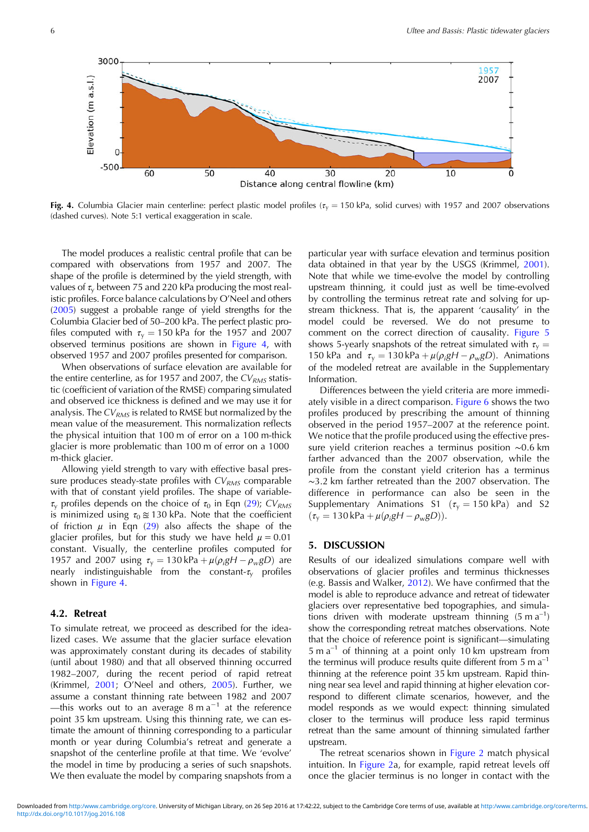<span id="page-5-0"></span>

Fig. 4. Columbia Glacier main centerline: perfect plastic model profiles ( $\tau_{v}$  = 150 kPa, solid curves) with 1957 and 2007 observations (dashed curves). Note 5:1 vertical exaggeration in scale.

The model produces a realistic central profile that can be compared with observations from 1957 and 2007. The shape of the profile is determined by the yield strength, with values of  $\tau_{\rm v}$  between 75 and 220 kPa producing the most realistic profiles. Force balance calculations by O'Neel and others ([2005](#page-9-0)) suggest a probable range of yield strengths for the Columbia Glacier bed of 50–200 kPa. The perfect plastic profiles computed with  $\tau_{v} = 150$  kPa for the 1957 and 2007 observed terminus positions are shown in Figure 4, with observed 1957 and 2007 profiles presented for comparison.

When observations of surface elevation are available for the entire centerline, as for 1957 and 2007, the  $CV<sub>RMS</sub>$  statistic (coefficient of variation of the RMSE) comparing simulated and observed ice thickness is defined and we may use it for analysis. The  $CV<sub>RMS</sub>$  is related to RMSE but normalized by the mean value of the measurement. This normalization reflects the physical intuition that 100 m of error on a 100 m-thick glacier is more problematic than 100 m of error on a 1000 m-thick glacier.

Allowing yield strength to vary with effective basal pressure produces steady-state profiles with  $CV<sub>RMS</sub>$  comparable with that of constant yield profiles. The shape of variable- $\tau_{\rm v}$  profiles depends on the choice of  $\tau_0$  in Eqn [\(29\)](#page-4-0); CV<sub>RMS</sub> is minimized using  $\tau_0 \approx 130$  kPa. Note that the coefficient of friction  $\mu$  in Eqn ([29](#page-4-0)) also affects the shape of the glacier profiles, but for this study we have held  $\mu = 0.01$ constant. Visually, the centerline profiles computed for 1957 and 2007 using  $\tau_y = 130 \text{ kPa} + \mu(\rho_i g H - \rho_w g D)$  are nearly indistinguishable from the constant- $\tau_{\rm v}$  profiles shown in Figure 4.

## 4.2. Retreat

To simulate retreat, we proceed as described for the idealized cases. We assume that the glacier surface elevation was approximately constant during its decades of stability (until about 1980) and that all observed thinning occurred 1982–2007, during the recent period of rapid retreat (Krimmel, [2001](#page-8-0); O'Neel and others, [2005](#page-9-0)). Further, we assume a constant thinning rate between 1982 and 2007 —this works out to an average  $8 \text{ m a}^{-1}$  at the reference point 35 km upstream. Using this thinning rate, we can estimate the amount of thinning corresponding to a particular month or year during Columbia's retreat and generate a snapshot of the centerline profile at that time. We 'evolve' the model in time by producing a series of such snapshots. We then evaluate the model by comparing snapshots from a

particular year with surface elevation and terminus position data obtained in that year by the USGS (Krimmel, [2001](#page-8-0)). Note that while we time-evolve the model by controlling upstream thinning, it could just as well be time-evolved by controlling the terminus retreat rate and solving for upstream thickness. That is, the apparent 'causality' in the model could be reversed. We do not presume to comment on the correct direction of causality. [Figure 5](#page-6-0) shows 5-yearly snapshots of the retreat simulated with  $\tau_{v} =$ 150 kPa and  $\tau_y = 130 \text{ kPa} + \mu(\rho_i gH - \rho_w gD)$ . Animations of the modeled retreat are available in the Supplementary Information.

Differences between the yield criteria are more immediately visible in a direct comparison. [Figure 6](#page-6-0) shows the two profiles produced by prescribing the amount of thinning observed in the period 1957–2007 at the reference point. We notice that the profile produced using the effective pressure yield criterion reaches a terminus position ∼0.6 km farther advanced than the 2007 observation, while the profile from the constant yield criterion has a terminus ∼3.2 km farther retreated than the 2007 observation. The difference in performance can also be seen in the Supplementary Animations S1 ( $\tau_v = 150$  kPa) and S2  $(\tau_{\gamma} = 130 \text{ kPa} + \mu(\rho_{i} gH - \rho_{w} gD)).$ 

## 5. DISCUSSION

Results of our idealized simulations compare well with observations of glacier profiles and terminus thicknesses (e.g. Bassis and Walker, [2012](#page-8-0)). We have confirmed that the model is able to reproduce advance and retreat of tidewater glaciers over representative bed topographies, and simulations driven with moderate upstream thinning  $(5 \text{ m a}^{-1})$ show the corresponding retreat matches observations. Note that the choice of reference point is significant—simulating  $5 \text{ m a}^{-1}$  of thinning at a point only 10 km upstream from the terminus will produce results quite different from  $5 \text{ m a}^{-1}$ thinning at the reference point 35 km upstream. Rapid thinning near sea level and rapid thinning at higher elevation correspond to different climate scenarios, however, and the model responds as we would expect: thinning simulated closer to the terminus will produce less rapid terminus retreat than the same amount of thinning simulated farther upstream.

The retreat scenarios shown in [Figure 2](#page-4-0) match physical intuition. In [Figure 2a](#page-4-0), for example, rapid retreat levels off once the glacier terminus is no longer in contact with the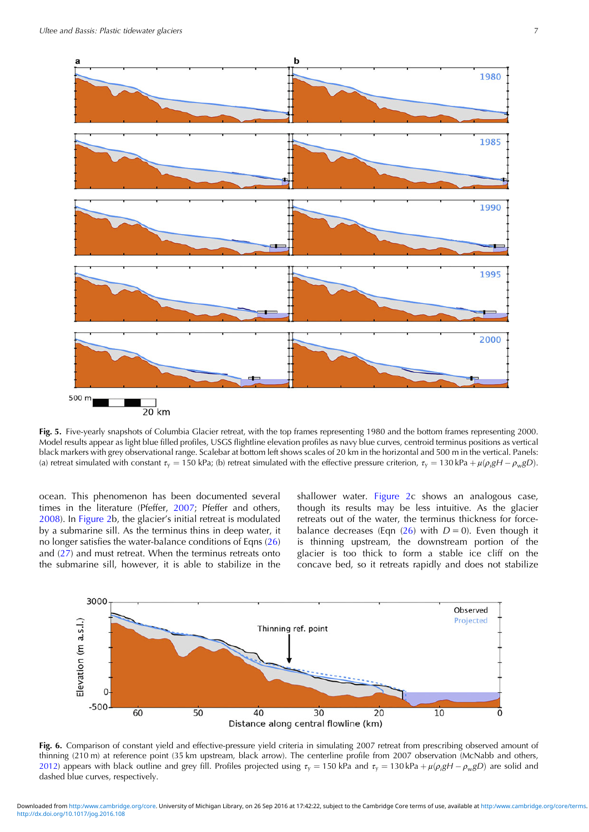<span id="page-6-0"></span>

Fig. 5. Five-yearly snapshots of Columbia Glacier retreat, with the top frames representing 1980 and the bottom frames representing 2000. Model results appear as light blue filled profiles, USGS flightline elevation profiles as navy blue curves, centroid terminus positions as vertical black markers with grey observational range. Scalebar at bottom left shows scales of 20 km in the horizontal and 500 m in the vertical. Panels: (a) retreat simulated with constant  $\tau_y=$  150 kPa; (b) retreat simulated with the effective pressure criterion,  $\tau_y=$  130 kPa +  $\mu(\rho_i$ gH –  $\rho_w$ gD).

ocean. This phenomenon has been documented several times in the literature (Pfeffer, [2007;](#page-9-0) Pfeffer and others, [2008\)](#page-9-0). In [Figure 2](#page-4-0)b, the glacier's initial retreat is modulated by a submarine sill. As the terminus thins in deep water, it no longer satisfies the water-balance conditions of Eqns [\(26\)](#page-2-0) and ([27](#page-2-0)) and must retreat. When the terminus retreats onto the submarine sill, however, it is able to stabilize in the

shallower water. [Figure 2c](#page-4-0) shows an analogous case, though its results may be less intuitive. As the glacier retreats out of the water, the terminus thickness for forcebalance decreases (Eqn  $(26)$  with  $D = 0$ ). Even though it is thinning upstream, the downstream portion of the glacier is too thick to form a stable ice cliff on the concave bed, so it retreats rapidly and does not stabilize



Fig. 6. Comparison of constant yield and effective-pressure yield criteria in simulating 2007 retreat from prescribing observed amount of thinning (210 m) at reference point (35 km upstream, black arrow). The centerline profile from 2007 observation (McNabb and others, [2012](#page-9-0)) appears with black outline and grey fill. Profiles projected using  $\tau_v = 150$  kPa and  $\tau_v = 130$  kPa +  $\mu(\rho_i g H - \rho_w g D)$  are solid and dashed blue curves, respectively.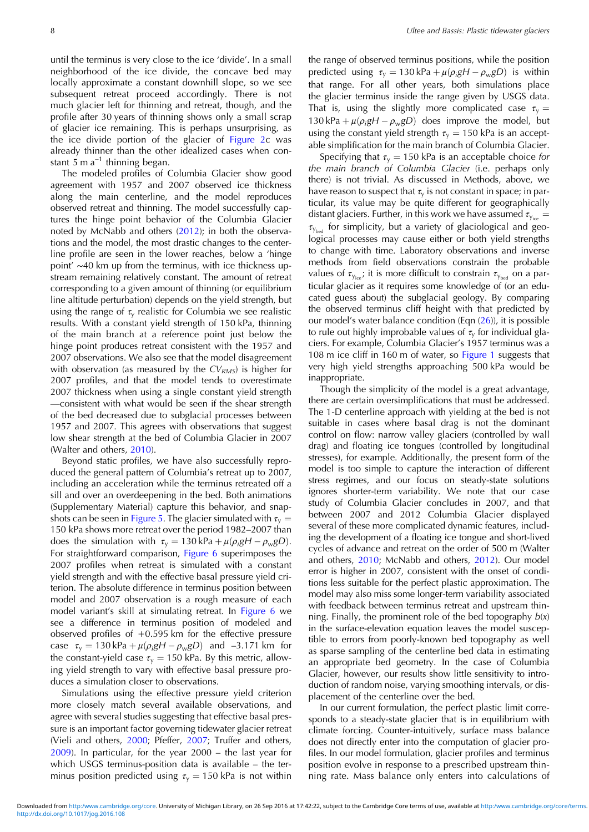until the terminus is very close to the ice 'divide'. In a small neighborhood of the ice divide, the concave bed may locally approximate a constant downhill slope, so we see subsequent retreat proceed accordingly. There is not much glacier left for thinning and retreat, though, and the profile after 30 years of thinning shows only a small scrap of glacier ice remaining. This is perhaps unsurprising, as the ice divide portion of the glacier of [Figure 2](#page-4-0)c was already thinner than the other idealized cases when constant 5 m  $a^{-1}$  thinning began.

The modeled profiles of Columbia Glacier show good agreement with 1957 and 2007 observed ice thickness along the main centerline, and the model reproduces observed retreat and thinning. The model successfully captures the hinge point behavior of the Columbia Glacier noted by McNabb and others ([2012\)](#page-9-0); in both the observations and the model, the most drastic changes to the centerline profile are seen in the lower reaches, below a 'hinge point' ∼40 km up from the terminus, with ice thickness upstream remaining relatively constant. The amount of retreat corresponding to a given amount of thinning (or equilibrium line altitude perturbation) depends on the yield strength, but using the range of  $\tau_{\rm v}$  realistic for Columbia we see realistic results. With a constant yield strength of 150 kPa, thinning of the main branch at a reference point just below the hinge point produces retreat consistent with the 1957 and 2007 observations. We also see that the model disagreement with observation (as measured by the  $CV<sub>RMS</sub>$ ) is higher for 2007 profiles, and that the model tends to overestimate 2007 thickness when using a single constant yield strength —consistent with what would be seen if the shear strength of the bed decreased due to subglacial processes between 1957 and 2007. This agrees with observations that suggest low shear strength at the bed of Columbia Glacier in 2007 (Walter and others, [2010\)](#page-9-0).

Beyond static profiles, we have also successfully reproduced the general pattern of Columbia's retreat up to 2007, including an acceleration while the terminus retreated off a sill and over an overdeepening in the bed. Both animations (Supplementary Material) capture this behavior, and snap-shots can be seen in [Figure 5.](#page-6-0) The glacier simulated with  $\tau_{v} =$ 150 kPa shows more retreat over the period 1982–2007 than does the simulation with  $\tau_y = 130 \text{ kPa} + \mu(\rho_i g H - \rho_w g D)$ . For straightforward comparison, [Figure 6](#page-6-0) superimposes the 2007 profiles when retreat is simulated with a constant yield strength and with the effective basal pressure yield criterion. The absolute difference in terminus position between model and 2007 observation is a rough measure of each model variant's skill at simulating retreat. In [Figure 6](#page-6-0) we see a difference in terminus position of modeled and observed profiles of  $+0.595$  km for the effective pressure case  $\tau_y = 130 \text{ kPa} + \mu(\rho_i g H - \rho_w g D)$  and -3.171 km for the constant-yield case  $\tau_{v} = 150$  kPa. By this metric, allowing yield strength to vary with effective basal pressure produces a simulation closer to observations.

Simulations using the effective pressure yield criterion more closely match several available observations, and agree with several studies suggesting that effective basal pressure is an important factor governing tidewater glacier retreat (Vieli and others, [2000](#page-9-0); Pfeffer, [2007;](#page-9-0) Truffer and others, [2009](#page-9-0)). In particular, for the year 2000 – the last year for which USGS terminus-position data is available – the terminus position predicted using  $\tau_y = 150$  kPa is not within

the range of observed terminus positions, while the position predicted using  $\tau_y = 130 \text{ kPa} + \mu(\rho_i g H - \rho_w g D)$  is within that range. For all other years, both simulations place the glacier terminus inside the range given by USGS data. That is, using the slightly more complicated case  $\tau_v =$ 130 kPa +  $\mu(\rho_i g H - \rho_w g D)$  does improve the model, but using the constant yield strength  $\tau_y = 150$  kPa is an acceptable simplification for the main branch of Columbia Glacier.

Specifying that  $\tau_{v} = 150$  kPa is an acceptable choice for the main branch of Columbia Glacier (i.e. perhaps only there) is not trivial. As discussed in Methods, above, we have reason to suspect that  $\tau_{\rm v}$  is not constant in space; in particular, its value may be quite different for geographically distant glaciers. Further, in this work we have assumed  $\tau_{y_{\text{ice}}} =$  $\tau_{y_{\text{bed}}}$  for simplicity, but a variety of glaciological and geological processes may cause either or both yield strengths to change with time. Laboratory observations and inverse methods from field observations constrain the probable values of  $\tau_{y_{\text{ice}}}$ ; it is more difficult to constrain  $\tau_{y_{\text{bed}}}$  on a particular glacier as it requires some knowledge of (or an educated guess about) the subglacial geology. By comparing the observed terminus cliff height with that predicted by our model's water balance condition (Eqn ([26](#page-2-0))), it is possible to rule out highly improbable values of  $\tau_{\rm v}$  for individual glaciers. For example, Columbia Glacier's 1957 terminus was a 108 m ice cliff in 160 m of water, so [Figure 1](#page-3-0) suggests that very high yield strengths approaching 500 kPa would be inappropriate.

Though the simplicity of the model is a great advantage, there are certain oversimplifications that must be addressed. The 1-D centerline approach with yielding at the bed is not suitable in cases where basal drag is not the dominant control on flow: narrow valley glaciers (controlled by wall drag) and floating ice tongues (controlled by longitudinal stresses), for example. Additionally, the present form of the model is too simple to capture the interaction of different stress regimes, and our focus on steady-state solutions ignores shorter-term variability. We note that our case study of Columbia Glacier concludes in 2007, and that between 2007 and 2012 Columbia Glacier displayed several of these more complicated dynamic features, including the development of a floating ice tongue and short-lived cycles of advance and retreat on the order of 500 m (Walter and others, [2010](#page-9-0); McNabb and others, [2012\)](#page-9-0). Our model error is higher in 2007, consistent with the onset of conditions less suitable for the perfect plastic approximation. The model may also miss some longer-term variability associated with feedback between terminus retreat and upstream thinning. Finally, the prominent role of the bed topography  $b(x)$ in the surface-elevation equation leaves the model susceptible to errors from poorly-known bed topography as well as sparse sampling of the centerline bed data in estimating an appropriate bed geometry. In the case of Columbia Glacier, however, our results show little sensitivity to introduction of random noise, varying smoothing intervals, or displacement of the centerline over the bed.

In our current formulation, the perfect plastic limit corresponds to a steady-state glacier that is in equilibrium with climate forcing. Counter-intuitively, surface mass balance does not directly enter into the computation of glacier profiles. In our model formulation, glacier profiles and terminus position evolve in response to a prescribed upstream thinning rate. Mass balance only enters into calculations of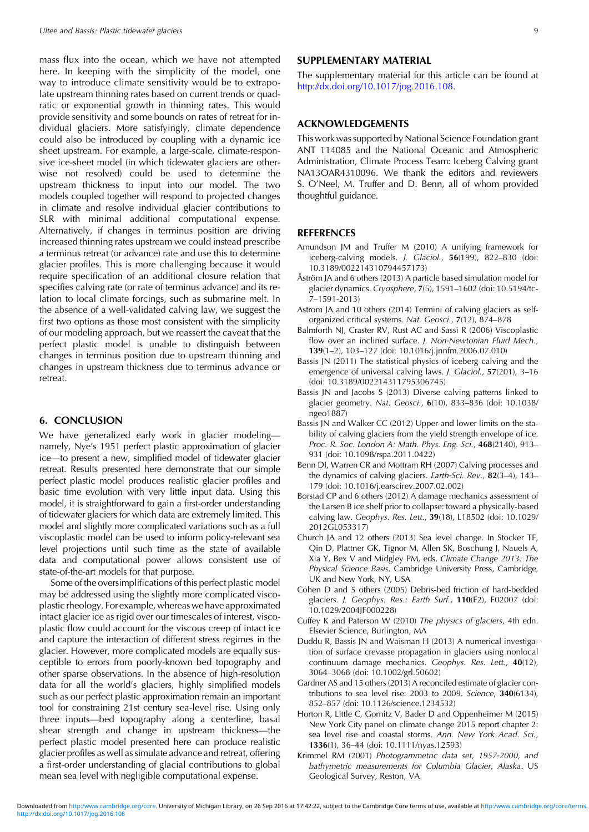<span id="page-8-0"></span>mass flux into the ocean, which we have not attempted here. In keeping with the simplicity of the model, one way to introduce climate sensitivity would be to extrapolate upstream thinning rates based on current trends or quadratic or exponential growth in thinning rates. This would provide sensitivity and some bounds on rates of retreat for individual glaciers. More satisfyingly, climate dependence could also be introduced by coupling with a dynamic ice sheet upstream. For example, a large-scale, climate-responsive ice-sheet model (in which tidewater glaciers are otherwise not resolved) could be used to determine the upstream thickness to input into our model. The two models coupled together will respond to projected changes in climate and resolve individual glacier contributions to SLR with minimal additional computational expense. Alternatively, if changes in terminus position are driving increased thinning rates upstream we could instead prescribe a terminus retreat (or advance) rate and use this to determine glacier profiles. This is more challenging because it would require specification of an additional closure relation that specifies calving rate (or rate of terminus advance) and its relation to local climate forcings, such as submarine melt. In the absence of a well-validated calving law, we suggest the first two options as those most consistent with the simplicity of our modeling approach, but we reassert the caveat that the perfect plastic model is unable to distinguish between changes in terminus position due to upstream thinning and changes in upstream thickness due to terminus advance or retreat.

## 6. CONCLUSION

We have generalized early work in glacier modeling namely, Nye's 1951 perfect plastic approximation of glacier ice—to present a new, simplified model of tidewater glacier retreat. Results presented here demonstrate that our simple perfect plastic model produces realistic glacier profiles and basic time evolution with very little input data. Using this model, it is straightforward to gain a first-order understanding of tidewater glaciers for which data are extremely limited. This model and slightly more complicated variations such as a full viscoplastic model can be used to inform policy-relevant sea level projections until such time as the state of available data and computational power allows consistent use of state-of-the-art models for that purpose.

Some of the oversimplifications of this perfect plastic model may be addressed using the slightly more complicated viscoplastic rheology. For example, whereas we have approximated intact glacier ice as rigid over our timescales of interest, viscoplastic flow could account for the viscous creep of intact ice and capture the interaction of different stress regimes in the glacier. However, more complicated models are equally susceptible to errors from poorly-known bed topography and other sparse observations. In the absence of high-resolution data for all the world's glaciers, highly simplified models such as our perfect plastic approximation remain an important tool for constraining 21st century sea-level rise. Using only three inputs—bed topography along a centerline, basal shear strength and change in upstream thickness—the perfect plastic model presented here can produce realistic glacier profiles as well as simulate advance and retreat, offering a first-order understanding of glacial contributions to global mean sea level with negligible computational expense.

## SUPPLEMENTARY MATERIAL

The supplementary material for this article can be found at <http://dx.doi.org/10.1017/jog.2016.108>.

## ACKNOWLEDGEMENTS

This work was supported by National Science Foundation grant ANT 114085 and the National Oceanic and Atmospheric Administration, Climate Process Team: Iceberg Calving grant NA13OAR4310096. We thank the editors and reviewers S. O'Neel, M. Truffer and D. Benn, all of whom provided thoughtful guidance.

## **REFERENCES**

- Amundson JM and Truffer M (2010) A unifying framework for iceberg-calving models. J. Glaciol., 56(199), 822–830 (doi: 10.3189/002214310794457173)
- Åström JA and 6 others (2013) A particle based simulation model for glacier dynamics. Cryosphere, 7(5), 1591–1602 (doi: 10.5194/tc-7–1591-2013)
- Astrom JA and 10 others (2014) Termini of calving glaciers as selforganized critical systems. Nat. Geosci., 7(12), 874–878
- Balmforth NJ, Craster RV, Rust AC and Sassi R (2006) Viscoplastic flow over an inclined surface. J. Non-Newtonian Fluid Mech., 139(1–2), 103–127 (doi: 10.1016/j.jnnfm.2006.07.010)
- Bassis JN (2011) The statistical physics of iceberg calving and the emergence of universal calving laws. J. Glaciol., 57(201), 3-16 (doi: 10.3189/002214311795306745)
- Bassis JN and Jacobs S (2013) Diverse calving patterns linked to glacier geometry. Nat. Geosci., 6(10), 833–836 (doi: 10.1038/ ngeo1887)
- Bassis JN and Walker CC (2012) Upper and lower limits on the stability of calving glaciers from the yield strength envelope of ice. Proc. R. Soc. London A: Math. Phys. Eng. Sci., 468(2140), 913– 931 (doi: 10.1098/rspa.2011.0422)
- Benn DI, Warren CR and Mottram RH (2007) Calving processes and the dynamics of calving glaciers. Earth-Sci. Rev., 82(3–4), 143– 179 (doi: 10.1016/j.earscirev.2007.02.002)
- Borstad CP and 6 others (2012) A damage mechanics assessment of the Larsen B ice shelf prior to collapse: toward a physically-based calving law. Geophys. Res. Lett., 39(18), L18502 (doi: 10.1029/ 2012GL053317)
- Church JA and 12 others (2013) Sea level change. In Stocker TF, Qin D, Plattner GK, Tignor M, Allen SK, Boschung J, Nauels A, Xia Y, Bex V and Midgley PM, eds. Climate Change 2013: The Physical Science Basis. Cambridge University Press, Cambridge, UK and New York, NY, USA
- Cohen D and 5 others (2005) Debris-bed friction of hard-bedded glaciers. J. Geophys. Res.: Earth Surf., 110(F2), F02007 (doi: 10.1029/2004JF000228)
- Cuffey K and Paterson W (2010) The physics of glaciers, 4th edn. Elsevier Science, Burlington, MA
- Duddu R, Bassis JN and Waisman H (2013) A numerical investigation of surface crevasse propagation in glaciers using nonlocal continuum damage mechanics. Geophys. Res. Lett., 40(12), 3064–3068 (doi: 10.1002/grl.50602)
- Gardner AS and 15 others (2013) A reconciled estimate of glacier contributions to sea level rise: 2003 to 2009. Science, 340(6134), 852–857 (doi: 10.1126/science.1234532)
- Horton R, Little C, Gornitz V, Bader D and Oppenheimer M (2015) New York City panel on climate change 2015 report chapter 2: sea level rise and coastal storms. Ann. New York Acad. Sci., 1336(1), 36–44 (doi: 10.1111/nyas.12593)
- Krimmel RM (2001) Photogrammetric data set, 1957-2000, and bathymetric measurements for Columbia Glacier, Alaska. US Geological Survey, Reston, VA